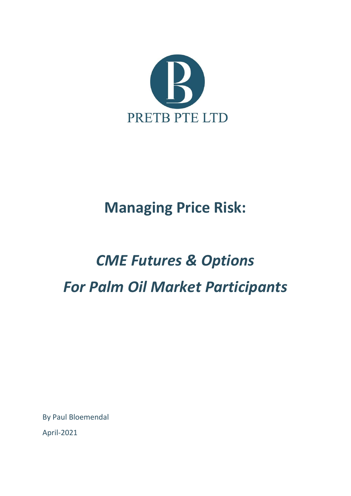

## **Managing Price Risk:**

# *CME Futures & Options For Palm Oil Market Participants*

By Paul Bloemendal

April-2021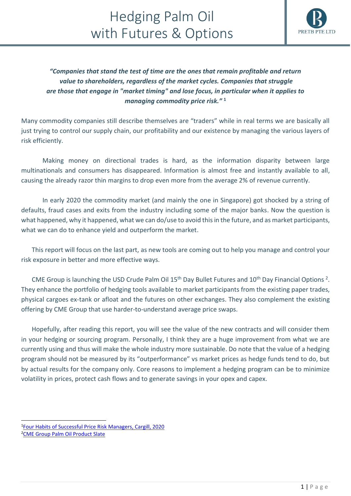

*"Companies that stand the test of time are the ones that remain profitable and return value to shareholders, regardless of the market cycles. Companies that struggle are those that engage in "market timing" and lose focus, in particular when it applies to managing commodity price risk."* **<sup>1</sup>**

Many commodity companies still describe themselves are "traders" while in real terms we are basically all just trying to control our supply chain, our profitability and our existence by managing the various layers of risk efficiently.

Making money on directional trades is hard, as the information disparity between large multinationals and consumers has disappeared. Information is almost free and instantly available to all, causing the already razor thin margins to drop even more from the average 2% of revenue currently.

In early 2020 the commodity market (and mainly the one in Singapore) got shocked by a string of defaults, fraud cases and exits from the industry including some of the major banks. Now the question is what happened, why it happened, what we can do/use to avoid this in the future, and as market participants, what we can do to enhance yield and outperform the market.

This report will focus on the last part, as new tools are coming out to help you manage and control your risk exposure in better and more effective ways.

CME Group is launching the USD Crude Palm Oil  $15<sup>th</sup>$  Day Bullet Futures and  $10<sup>th</sup>$  Day Financial Options<sup>2</sup>. They enhance the portfolio of hedging tools available to market participants from the existing paper trades, physical cargoes ex-tank or afloat and the futures on other exchanges. They also complement the existing offering by CME Group that use harder-to-understand average price swaps.

Hopefully, after reading this report, you will see the value of the new contracts and will consider them in your hedging or sourcing program. Personally, I think they are a huge improvement from what we are currently using and thus will make the whole industry more sustainable. Do note that the value of a hedging program should not be measured by its "outperformance" vs market prices as hedge funds tend to do, but by actual results for the company only. Core reasons to implement a hedging program can be to minimize volatility in prices, protect cash flows and to generate savings in your opex and capex.

<sup>&</sup>lt;sup>1</sup>[Four Habits of Successful Price Risk Managers, Cargill, 2020](https://www.cargill.com/image/1432177505211/four-habits-of-successful-price-risk-managers.pdf)

<sup>&</sup>lt;sup>2</sup>[CME Group Palm Oil Product Slate](https://www.cmegroup.com/trading/agricultural/grain-and-oilseed/palm-oil-futures-options-swaps.html)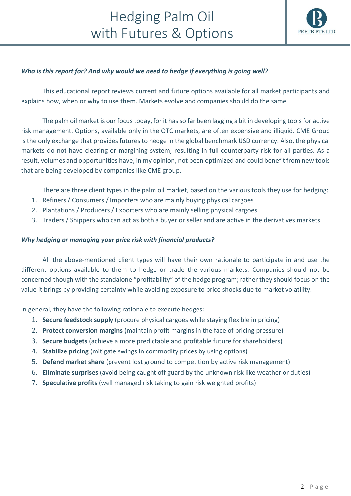

#### *Who is this report for? And why would we need to hedge if everything is going well?*

This educational report reviews current and future options available for all market participants and explains how, when or why to use them. Markets evolve and companies should do the same.

The palm oil market is our focus today, for it has so far been lagging a bit in developing tools for active risk management. Options, available only in the OTC markets, are often expensive and illiquid. CME Group is the only exchange that provides futures to hedge in the global benchmark USD currency. Also, the physical markets do not have clearing or margining system, resulting in full counterparty risk for all parties. As a result, volumes and opportunities have, in my opinion, not been optimized and could benefit from new tools that are being developed by companies like CME group.

There are three client types in the palm oil market, based on the various tools they use for hedging:

- 1. Refiners / Consumers / Importers who are mainly buying physical cargoes
- 2. Plantations / Producers / Exporters who are mainly selling physical cargoes
- 3. Traders / Shippers who can act as both a buyer or seller and are active in the derivatives markets

#### *Why hedging or managing your price risk with financial products?*

All the above-mentioned client types will have their own rationale to participate in and use the different options available to them to hedge or trade the various markets. Companies should not be concerned though with the standalone "profitability" of the hedge program; rather they should focus on the value it brings by providing certainty while avoiding exposure to price shocks due to market volatility.

In general, they have the following rationale to execute hedges:

- 1. **Secure feedstock supply** (procure physical cargoes while staying flexible in pricing)
- 2. **Protect conversion margins** (maintain profit margins in the face of pricing pressure)
- 3. **Secure budgets** (achieve a more predictable and profitable future for shareholders)
- 4. **Stabilize pricing** (mitigate swings in commodity prices by using options)
- 5. **Defend market share** (prevent lost ground to competition by active risk management)
- 6. **Eliminate surprises** (avoid being caught off guard by the unknown risk like weather or duties)
- 7. **Speculative profits** (well managed risk taking to gain risk weighted profits)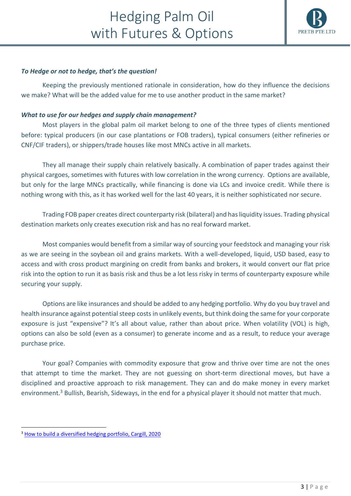

#### *To Hedge or not to hedge, that's the question!*

Keeping the previously mentioned rationale in consideration, how do they influence the decisions we make? What will be the added value for me to use another product in the same market?

#### *What to use for our hedges and supply chain management?*

Most players in the global palm oil market belong to one of the three types of clients mentioned before: typical producers (in our case plantations or FOB traders), typical consumers (either refineries or CNF/CIF traders), or shippers/trade houses like most MNCs active in all markets.

They all manage their supply chain relatively basically. A combination of paper trades against their physical cargoes, sometimes with futures with low correlation in the wrong currency. Options are available, but only for the large MNCs practically, while financing is done via LCs and invoice credit. While there is nothing wrong with this, as it has worked well for the last 40 years, it is neither sophisticated nor secure.

Trading FOB paper creates direct counterparty risk (bilateral) and has liquidity issues. Trading physical destination markets only creates execution risk and has no real forward market.

Most companies would benefit from a similar way of sourcing your feedstock and managing your risk as we are seeing in the soybean oil and grains markets. With a well-developed, liquid, USD based, easy to access and with cross product margining on credit from banks and brokers, it would convert our flat price risk into the option to run it as basis risk and thus be a lot less risky in terms of counterparty exposure while securing your supply.

Options are like insurances and should be added to any hedging portfolio. Why do you buy travel and health insurance against potential steep costs in unlikely events, but think doing the same for your corporate exposure is just "expensive"? It's all about value, rather than about price. When volatility (VOL) is high, options can also be sold (even as a consumer) to generate income and as a result, to reduce your average purchase price.

Your goal? Companies with commodity exposure that grow and thrive over time are not the ones that attempt to time the market. They are not guessing on short-term directional moves, but have a disciplined and proactive approach to risk management. They can and do make money in every market environment.<sup>3</sup> Bullish, Bearish, Sideways, in the end for a physical player it should not matter that much.

<sup>&</sup>lt;sup>3</sup> [How to build a diversified hedging portfolio, Cargill, 2020](https://www.cargill.com/commodity-price-risk/how-to-build-a-diversified-hedging-portfolio)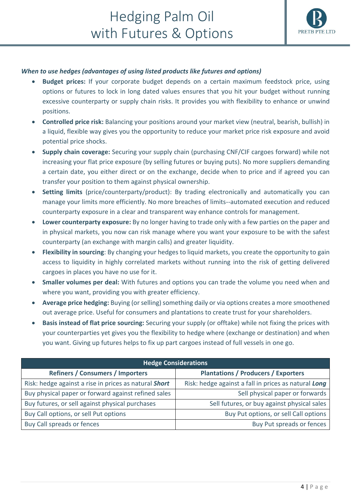

#### *When to use hedges (advantages of using listed products like futures and options)*

- **Budget prices:** If your corporate budget depends on a certain maximum feedstock price, using options or futures to lock in long dated values ensures that you hit your budget without running excessive counterparty or supply chain risks. It provides you with flexibility to enhance or unwind positions.
- **Controlled price risk:** Balancing your positions around your market view (neutral, bearish, bullish) in a liquid, flexible way gives you the opportunity to reduce your market price risk exposure and avoid potential price shocks.
- **Supply chain coverage:** Securing your supply chain (purchasing CNF/CIF cargoes forward) while not increasing your flat price exposure (by selling futures or buying puts). No more suppliers demanding a certain date, you either direct or on the exchange, decide when to price and if agreed you can transfer your position to them against physical ownership.
- **Setting limits** (price/counterparty/product): By trading electronically and automatically you can manage your limits more efficiently. No more breaches of limits--automated execution and reduced counterparty exposure in a clear and transparent way enhance controls for management.
- **Lower counterparty exposure:** By no longer having to trade only with a few parties on the paper and in physical markets, you now can risk manage where you want your exposure to be with the safest counterparty (an exchange with margin calls) and greater liquidity.
- **Flexibility in sourcing**: By changing your hedges to liquid markets, you create the opportunity to gain access to liquidity in highly correlated markets without running into the risk of getting delivered cargoes in places you have no use for it.
- **Smaller volumes per deal:** With futures and options you can trade the volume you need when and where you want, providing you with greater efficiency.
- **Average price hedging:** Buying (or selling) something daily or via options creates a more smoothened out average price. Useful for consumers and plantations to create trust for your shareholders.
- **Basis instead of flat price sourcing:** Securing your supply (or offtake) while not fixing the prices with your counterparties yet gives you the flexibility to hedge where (exchange or destination) and when you want. Giving up futures helps to fix up part cargoes instead of full vessels in one go.

| <b>Hedge Considerations</b>                           |                                                      |  |
|-------------------------------------------------------|------------------------------------------------------|--|
| <b>Refiners / Consumers / Importers</b>               | <b>Plantations / Producers / Exporters</b>           |  |
| Risk: hedge against a rise in prices as natural Short | Risk: hedge against a fall in prices as natural Long |  |
| Buy physical paper or forward against refined sales   | Sell physical paper or forwards                      |  |
| Buy futures, or sell against physical purchases       | Sell futures, or buy against physical sales          |  |
| Buy Call options, or sell Put options                 | Buy Put options, or sell Call options                |  |
| Buy Call spreads or fences                            | Buy Put spreads or fences                            |  |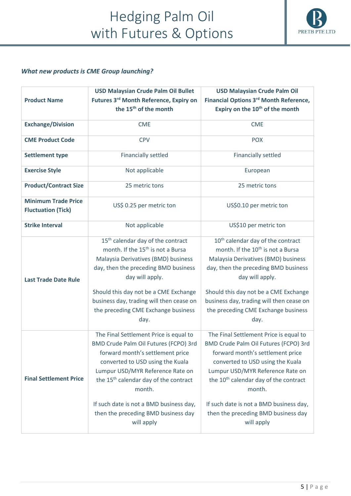

#### *What new products is CME Group launching?*

|                               | <b>USD Malaysian Crude Palm Oil Bullet</b>        | <b>USD Malaysian Crude Palm Oil</b>                |
|-------------------------------|---------------------------------------------------|----------------------------------------------------|
| <b>Product Name</b>           | Futures 3rd Month Reference, Expiry on            | Financial Options 3 <sup>rd</sup> Month Reference, |
|                               | the 15 <sup>th</sup> of the month                 | Expiry on the 10 <sup>th</sup> of the month        |
| <b>Exchange/Division</b>      | <b>CME</b>                                        | <b>CME</b>                                         |
|                               |                                                   |                                                    |
| <b>CME Product Code</b>       | <b>CPV</b>                                        | <b>POX</b>                                         |
| <b>Settlement type</b>        | <b>Financially settled</b>                        | <b>Financially settled</b>                         |
| <b>Exercise Style</b>         | Not applicable                                    | European                                           |
| <b>Product/Contract Size</b>  | 25 metric tons                                    | 25 metric tons                                     |
| <b>Minimum Trade Price</b>    | US\$ 0.25 per metric ton                          | US\$0.10 per metric ton                            |
| <b>Fluctuation (Tick)</b>     |                                                   |                                                    |
| <b>Strike Interval</b>        | Not applicable                                    | US\$10 per metric ton                              |
|                               | 15 <sup>th</sup> calendar day of the contract     | 10 <sup>th</sup> calendar day of the contract      |
|                               | month. If the 15 <sup>th</sup> is not a Bursa     | month. If the 10 <sup>th</sup> is not a Bursa      |
|                               | Malaysia Derivatives (BMD) business               | Malaysia Derivatives (BMD) business                |
|                               | day, then the preceding BMD business              | day, then the preceding BMD business               |
| <b>Last Trade Date Rule</b>   | day will apply.                                   | day will apply.                                    |
|                               | Should this day not be a CME Exchange             | Should this day not be a CME Exchange              |
|                               | business day, trading will then cease on          | business day, trading will then cease on           |
|                               | the preceding CME Exchange business               | the preceding CME Exchange business                |
|                               | day.                                              | day.                                               |
|                               | The Final Settlement Price is equal to            | The Final Settlement Price is equal to             |
|                               | BMD Crude Palm Oil Futures (FCPO) 3rd             | BMD Crude Palm Oil Futures (FCPO) 3rd              |
|                               | forward month's settlement price                  | forward month's settlement price                   |
|                               | converted to USD using the Kuala                  | converted to USD using the Kuala                   |
|                               | Lumpur USD/MYR Reference Rate on                  | Lumpur USD/MYR Reference Rate on                   |
| <b>Final Settlement Price</b> | the 15 <sup>th</sup> calendar day of the contract | the 10 <sup>th</sup> calendar day of the contract  |
|                               | month.                                            | month.                                             |
|                               | If such date is not a BMD business day,           | If such date is not a BMD business day,            |
|                               | then the preceding BMD business day               | then the preceding BMD business day                |
|                               | will apply                                        | will apply                                         |
|                               |                                                   |                                                    |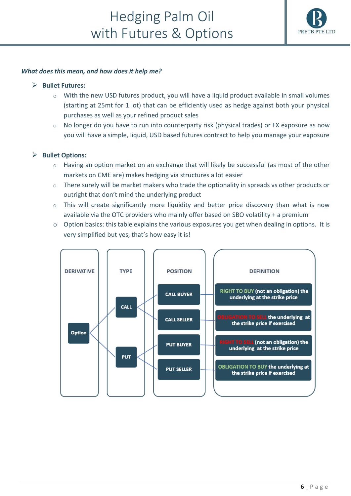

#### *What does this mean, and how does it help me?*

#### ➢ **Bullet Futures:**

- $\circ$  With the new USD futures product, you will have a liquid product available in small volumes (starting at 25mt for 1 lot) that can be efficiently used as hedge against both your physical purchases as well as your refined product sales
- o No longer do you have to run into counterparty risk (physical trades) or FX exposure as now you will have a simple, liquid, USD based futures contract to help you manage your exposure

#### ➢ **Bullet Options:**

- $\circ$  Having an option market on an exchange that will likely be successful (as most of the other markets on CME are) makes hedging via structures a lot easier
- $\circ$  There surely will be market makers who trade the optionality in spreads vs other products or outright that don't mind the underlying product
- $\circ$  This will create significantly more liquidity and better price discovery than what is now available via the OTC providers who mainly offer based on SBO volatility + a premium
- $\circ$  Option basics: this table explains the various exposures you get when dealing in options. It is very simplified but yes, that's how easy it is!

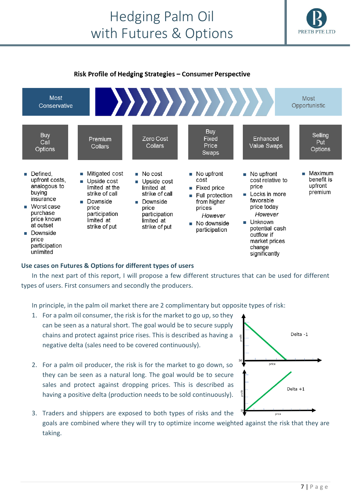

#### Risk Profile of Hedging Strategies - Consumer Perspective



#### **Use cases on Futures & Options for different types of users**

In the next part of this report, I will propose a few different structures that can be used for different types of users. First consumers and secondly the producers.

In principle, in the palm oil market there are 2 complimentary but opposite types of risk:

- 1. For a palm oil consumer, the risk is for the market to go up, so they can be seen as a natural short. The goal would be to secure supply chains and protect against price rises. This is described as having a negative delta (sales need to be covered continuously).
- 2. For a palm oil producer, the risk is for the market to go down, so they can be seen as a natural long. The goal would be to secure sales and protect against dropping prices. This is described as having a positive delta (production needs to be sold continuously).
- 3. Traders and shippers are exposed to both types of risks and the price goals are combined where they will try to optimize income weighted against the risk that they are taking.

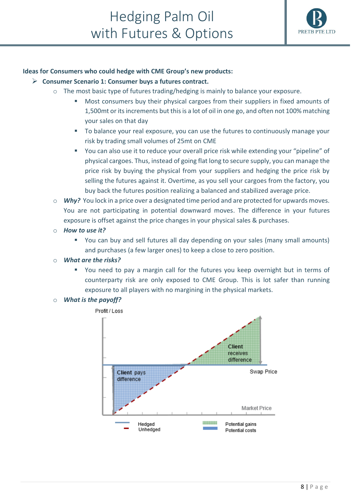

#### **Ideas for Consumers who could hedge with CME Group's new products:**

- ➢ **Consumer Scenario 1: Consumer buys a futures contract.** 
	- o The most basic type of futures trading/hedging is mainly to balance your exposure.
		- Most consumers buy their physical cargoes from their suppliers in fixed amounts of 1,500mt or its increments but this is a lot of oil in one go, and often not 100% matching your sales on that day
		- To balance your real exposure, you can use the futures to continuously manage your risk by trading small volumes of 25mt on CME
		- You can also use it to reduce your overall price risk while extending your "pipeline" of physical cargoes. Thus, instead of going flat long to secure supply, you can manage the price risk by buying the physical from your suppliers and hedging the price risk by selling the futures against it. Overtime, as you sell your cargoes from the factory, you buy back the futures position realizing a balanced and stabilized average price.
	- o *Why?* You lock in a price over a designated time period and are protected for upwards moves. You are not participating in potential downward moves. The difference in your futures exposure is offset against the price changes in your physical sales & purchases.
	- o *How to use it?* 
		- You can buy and sell futures all day depending on your sales (many small amounts) and purchases (a few larger ones) to keep a close to zero position.
	- o *What are the risks?*
		- You need to pay a margin call for the futures you keep overnight but in terms of counterparty risk are only exposed to CME Group. This is lot safer than running exposure to all players with no margining in the physical markets.
	- o *What is the payoff?*

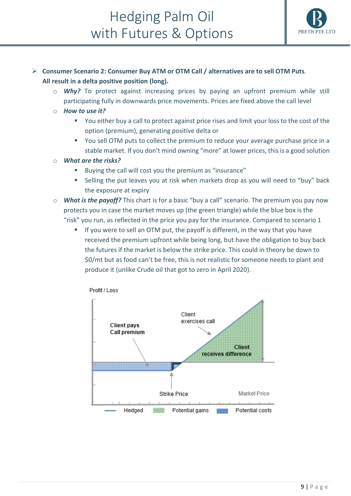

#### ➢ **Consumer Scenario 2: Consumer Buy ATM or OTM Call / alternatives are to sell OTM Puts**. **All result in a delta positive position (long).**

- o *Why?* To protect against increasing prices by paying an upfront premium while still participating fully in downwards price movements. Prices are fixed above the call level
- o *How to use it?*
	- You either buy a call to protect against price rises and limit your loss to the cost of the option (premium), generating positive delta or
	- You sell OTM puts to collect the premium to reduce your average purchase price in a stable market. If you don't mind owning "more" at lower prices, this is a good solution
- o *What are the risks?*
	- Buying the call will cost you the premium as "insurance"
	- Selling the put leaves you at risk when markets drop as you will need to "buy" back the exposure at expiry
- o *What is the payoff?* This chart is for a basic "buy a call" scenario. The premium you pay now protects you in case the market moves up (the green triangle) while the blue box is the "risk" you run, as reflected in the price you pay for the insurance. Compared to scenario 1
	- If you were to sell an OTM put, the payoff is different, in the way that you have received the premium upfront while being long, but have the obligation to buy back the futures if the market is below the strike price. This could in theory be down to \$0/mt but as food can't be free, this is not realistic for someone needs to plant and produce it (unlike Crude oil that got to zero in April 2020).

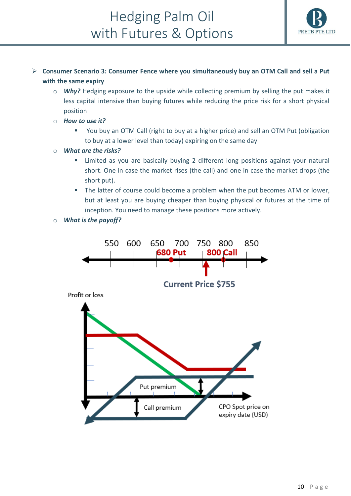

#### ➢ **Consumer Scenario 3: Consumer Fence where you simultaneously buy an OTM Call and sell a Put with the same expiry**

- o *Why?* Hedging exposure to the upside while collecting premium by selling the put makes it less capital intensive than buying futures while reducing the price risk for a short physical position
- o *How to use it?*
	- You buy an OTM Call (right to buy at a higher price) and sell an OTM Put (obligation to buy at a lower level than today) expiring on the same day
- o *What are the risks?* 
	- Limited as you are basically buying 2 different long positions against your natural short. One in case the market rises (the call) and one in case the market drops (the short put).
	- The latter of course could become a problem when the put becomes ATM or lower, but at least you are buying cheaper than buying physical or futures at the time of inception. You need to manage these positions more actively.
- o *What is the payoff?*

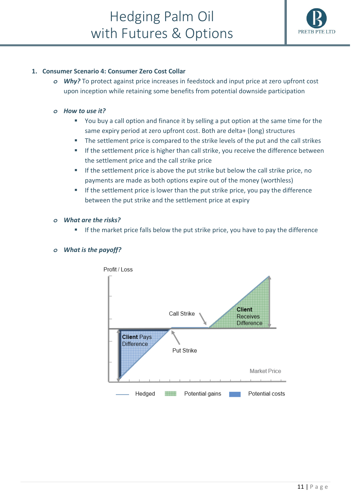

#### **1. Consumer Scenario 4: Consumer Zero Cost Collar**

*o Why?* To protect against price increases in feedstock and input price at zero upfront cost upon inception while retaining some benefits from potential downside participation

#### *o How to use it?*

- You buy a call option and finance it by selling a put option at the same time for the same expiry period at zero upfront cost. Both are delta+ (long) structures
- The settlement price is compared to the strike levels of the put and the call strikes
- **■** If the settlement price is higher than call strike, you receive the difference between the settlement price and the call strike price
- If the settlement price is above the put strike but below the call strike price, no payments are made as both options expire out of the money (worthless)
- If the settlement price is lower than the put strike price, you pay the difference between the put strike and the settlement price at expiry

#### *o What are the risks?*

If the market price falls below the put strike price, you have to pay the difference

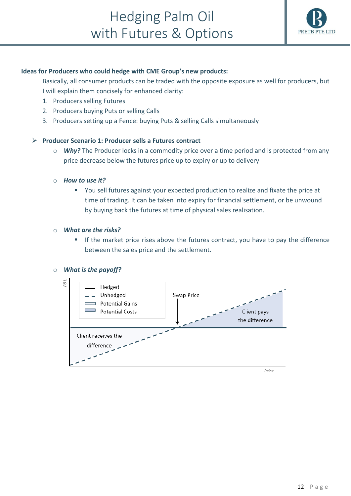

#### **Ideas for Producers who could hedge with CME Group's new products:**

Basically, all consumer products can be traded with the opposite exposure as well for producers, but I will explain them concisely for enhanced clarity:

- 1. Producers selling Futures
- 2. Producers buying Puts or selling Calls
- 3. Producers setting up a Fence: buying Puts & selling Calls simultaneously

#### ➢ **Producer Scenario 1: Producer sells a Futures contract**

o *Why?* The Producer locks in a commodity price over a time period and is protected from any price decrease below the futures price up to expiry or up to delivery

#### o *How to use it?*

■ You sell futures against your expected production to realize and fixate the price at time of trading. It can be taken into expiry for financial settlement, or be unwound by buying back the futures at time of physical sales realisation.

#### o *What are the risks?*

If the market price rises above the futures contract, you have to pay the difference between the sales price and the settlement.

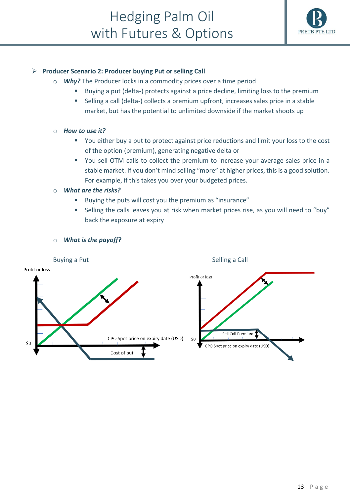

#### ➢ **Producer Scenario 2: Producer buying Put or selling Call**

- o *Why?* The Producer locks in a commodity prices over a time period
	- Buying a put (delta-) protects against a price decline, limiting loss to the premium
	- Selling a call (delta-) collects a premium upfront, increases sales price in a stable market, but has the potential to unlimited downside if the market shoots up
- o *How to use it?*
	- You either buy a put to protect against price reductions and limit your loss to the cost of the option (premium), generating negative delta or
	- You sell OTM calls to collect the premium to increase your average sales price in a stable market. If you don't mind selling "more" at higher prices, this is a good solution. For example, if this takes you over your budgeted prices.
- o *What are the risks?*
	- Buying the puts will cost you the premium as "insurance"
	- Selling the calls leaves you at risk when market prices rise, as you will need to "buy" back the exposure at expiry

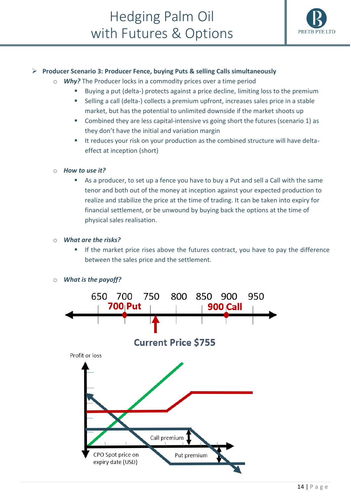

#### ➢ **Producer Scenario 3: Producer Fence, buying Puts & selling Calls simultaneously**

- o *Why?* The Producer locks in a commodity prices over a time period
	- Buying a put (delta-) protects against a price decline, limiting loss to the premium
		- Selling a call (delta-) collects a premium upfront, increases sales price in a stable market, but has the potential to unlimited downside if the market shoots up
		- Combined they are less capital-intensive vs going short the futures (scenario 1) as they don't have the initial and variation margin
		- It reduces your risk on your production as the combined structure will have deltaeffect at inception (short)

#### o *How to use it?*

■ As a producer, to set up a fence you have to buy a Put and sell a Call with the same tenor and both out of the money at inception against your expected production to realize and stabilize the price at the time of trading. It can be taken into expiry for financial settlement, or be unwound by buying back the options at the time of physical sales realisation.

#### o *What are the risks?*

**■** If the market price rises above the futures contract, you have to pay the difference between the sales price and the settlement.

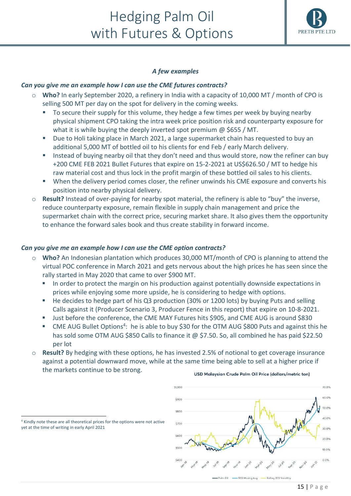### Hedging Palm Oil with Futures & Options



#### *A few examples*

#### *Can you give me an example how I can use the CME futures contracts?*

- o **Who?** In early September 2020, a refinery in India with a capacity of 10,000 MT / month of CPO is selling 500 MT per day on the spot for delivery in the coming weeks.
	- To secure their supply for this volume, they hedge a few times per week by buying nearby physical shipment CPO taking the intra week price position risk and counterparty exposure for what it is while buying the deeply inverted spot premium @ \$655 / MT.
	- Due to Holi taking place in March 2021, a large supermarket chain has requested to buy an additional 5,000 MT of bottled oil to his clients for end Feb / early March delivery.
	- Instead of buying nearby oil that they don't need and thus would store, now the refiner can buy +200 CME FEB 2021 Bullet Futures that expire on 15-2-2021 at US\$626.50 / MT to hedge his raw material cost and thus lock in the profit margin of these bottled oil sales to his clients.
	- When the delivery period comes closer, the refiner unwinds his CME exposure and converts his position into nearby physical delivery.
- o **Result?** Instead of over-paying for nearby spot material, the refinery is able to "buy" the inverse, reduce counterparty exposure, remain flexible in supply chain management and price the supermarket chain with the correct price, securing market share. It also gives them the opportunity to enhance the forward sales book and thus create stability in forward income.

#### *Can you give me an example how I can use the CME option contracts?*

- Who? An Indonesian plantation which produces 30,000 MT/month of CPO is planning to attend the virtual POC conference in March 2021 and gets nervous about the high prices he has seen since the rally started in May 2020 that came to over \$900 MT.
	- In order to protect the margin on his production against potentially downside expectations in prices while enjoying some more upside, he is considering to hedge with options.
	- He decides to hedge part of his Q3 production (30% or 1200 lots) by buying Puts and selling Calls against it (Producer Scenario 3, Producer Fence in this report) that expire on 10-8-2021.
	- Just before the conference, the CME MAY Futures hits \$905, and CME AUG is around \$830
	- CME AUG Bullet Options<sup>4</sup>: he is able to buy \$30 for the OTM AUG \$800 Puts and against this he has sold some OTM AUG \$850 Calls to finance it @ \$7.50. So, all combined he has paid \$22.50 per lot
- o **Result?** By hedging with these options, he has invested 2.5% of notional to get coverage insurance against a potential downward move, while at the same time being able to sell at a higher price if the markets continue to be strong.



USD Malaysian Crude Palm Oil Price (dollars/metric ton)

<sup>4</sup> Kindly note these are all theoretical prices for the options were not active yet at the time of writing in early April 2021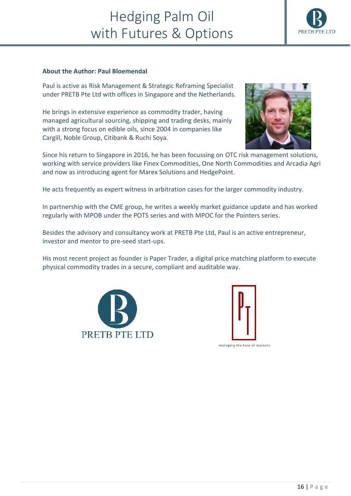### Hedging Palm Oil with Futures & Options

#### **About the Author: Paul Bloemendal**

Paul is active as Risk Management & Strategic Reframing Specialist under PRETB Pte Ltd with offices in Singapore and the Netherlands.

He brings in extensive experience as commodity trader, having managed agricultural sourcing, shipping and trading desks, mainly with a strong focus on edible oils, since 2004 in companies like Cargill, Noble Group, Citibank & Ruchi Soya.

Since his return to Singapore in 2016, he has been focussing on OTC risk management solutions, working with service providers like Finex Commodities, One North Commodities and Arcadia Agri and now as introducing agent for Marex Solutions and HedgePoint.

He acts frequently as expert witness in arbitration cases for the larger commodity industry.

In partnership with the CME group, he writes a weekly market guidance update and has worked regularly with MPOB under the POTS series and with MPOC for the Pointers series.

Besides the advisory and consultancy work at PRETB Pte Ltd, Paul is an active entrepreneur, investor and mentor to pre-seed start-ups.

His most recent project as founder is Paper Trader, a digital price matching platform to execute physical commodity trades in a secure, compliant and auditable way.





reshaping the face of markets